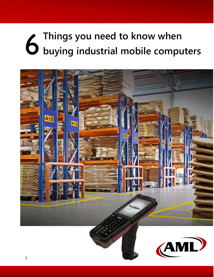# **Things you need to know when buying industrial mobile computers**

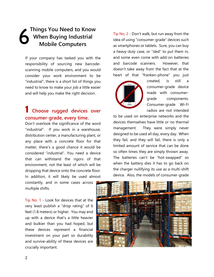#### **Things You Need to Know When Buying Industrial Mobile Computers** 6

If your company has tasked you with the responsibility of sourcing new barcodescanning mobile computers, and you would consider your work environment to be "industrial", there is a short list of things you need to know to make your job a little easier and will help you make the right decision.

## 1 **Choose rugged devices over consumer-grade, every time.**

Don't overlook the significance of the word "industrial". If you work in a warehouse, distribution center, a manufacturing plant, or any place with a concrete floor for that matter, there's a good chance it would be considered "industrial". You need a device that can withstand the rigors of that environment, not the least of which will be dropping that device onto the concrete floor. In addition, it will likely be used almost

constantly, and in some cases across multiple shifts.

Tip No. 1 - Look for devices that at the very least publish a "drop rating" of 6 feet (1.8 meters) or higher. You may end up with a device that's a little heavier and bulkier than you had hoped, but these devices represent a financial investment on your part so durability and survive-ability of these devices are crucially important.

Tip No. 2 - Don't walk, but run away from the idea of using "consumer-grade" devices such as smartphones or tablets. Sure, you can buy a heavy-duty case, or "sled" to put them in, and some even come with add-on batteries and barcode scanners. However, that doesn't take away from the fact that at the heart of that "franken-phone" you just



created, is still a consumer-grade device made with consumergrade components. Consumer-grade Wi-Fi radios are not intended

to be used on enterprise networks and the devices themselves have little or no thermal management. They were simply never designed to be used all day, every day. When they fail, and they will fail, there is only a limited amount of service that can be done so often times they are simply thrown away. The batteries can't be "hot-swapped" so when the battery dies it has to go back on the charger nullifying its use as a multi-shift device. Also, the models of consumer-grade

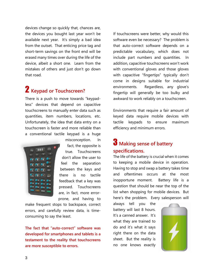devices change so quickly that, chances are, the devices you bought last year won't be available next year. It's simply a bad idea from the outset. That enticing price tag and short-term savings on the front end will be erased many times over during the life of the device, albeit a short one. Learn from the mistakes of others and just don't go down that road.

# 2 **Keypad or Touchscreen?**

There is a push to move towards "keypadless" devices that depend on capacitive touchscreens to manually enter data such as quantities, item numbers, locations, etc. Unfortunately, the idea that data entry on a touchscreen is faster and more reliable than a conventional tactile keypad is a huge



fact, the opposite is true. Touchscreens don't allow the user to feel the separation between the keys and there is no tactile feedback that a key was pressed. Touchscreens are, in fact, more errorprone, and having to

misconception. In

make frequent stops to backspace, correct errors, and carefully review data, is timeconsuming to say the least.

**The fact that "auto-correct" software was developed for smartphones and tablets is a testament to the reality that touchscreens are more susceptible to errors.** 

If touchscreens were better, why would this software even be necessary? The problem is that auto-correct software depends on a predictable vocabulary, which does not include part numbers and quantities. In addition, capacitive touchscreens won't work with conventional gloves and those gloves with capacitive "fingertips" typically don't come in designs suitable for industrial environments. Regardless, any glove's fingertip will generally be too bulky and awkward to work reliably on a touchscreen.

Environments that require a fair amount of keyed data require mobile devices with tactile keypads to ensure maximum efficiency and minimum errors.

## 3 **Making sense of battery specifications.**

The life of the battery is crucial when it comes to keeping a mobile device in operation. Having to stop and swap a battery takes time and oftentimes occurs at the most inopportune moment. Battery life is a question that should be near the top of the list when shopping for mobile devices. But here's the problem. Every salesperson will

always tell you the battery will last 8 hours. It's a canned answer. It's what they are trained to do and it's what it says right there on the data sheet. But the reality is no one knows exactly

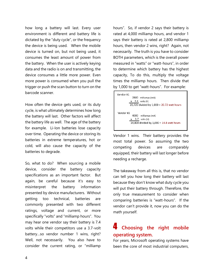how long a battery will last. Every user environment is different and battery life is dictated by the "duty cycle", or the frequency the device is being used. When the mobile device is turned on, but not being used, it consumes the least amount of power from the battery. When the user is actively keying data and the radio is on and transmitting, the device consumes a little more power. Even more power is consumed when you pull the trigger or push the scan button to turn on the barcode scanner.

How often the device gets used, or its duty cycle, is what ultimately determines how long the battery will last. Other factors will affect the battery life as well. The age of the battery for example. Li-Ion batteries lose capacity over time. Operating the device or storing its batteries in extreme temperatures, hot or cold, will also cause the capacity of the batteries to degrade.

So, what to do? When sourcing a mobile device, consider the battery capacity specifications as an important factor. But again, be careful because it's easy to misinterpret the battery information presented by device manufacturers. Without getting too technical, batteries are commonly presented with two different ratings, voltage and current, or more specifically "volts" and "milliamp hours". You may hear one vendor say their battery is 7.4 volts while their competitors use a 3.7-volt battery…so vendor number 1 wins, right? Well, not necessarily. You also have to consider the current rating, or "milliamp hours". So, if vendor 2 says their battery is rated at 4,000 milliamp hours, and vendor 1 says their battery is rated at 2,800 milliamp hours, then vendor 2 wins, right? Again, not necessarily. The truth is you have to consider BOTH parameters, which is the overall power measured in "watts" or "watt-hours", in order to determine which battery has the highest capacity, To do this, multiply the voltage times the milliamp hours. Then divide that by 1,000 to get "watt-hours". For example:

Vendor #1 2800 milliamps (mA)  $x$  7.4 volts (V) 20.720 divided by  $1,000 = 20.72$  watt hours Vendor #2 4000 milliamps (mA)  $x$  3.7 volts (V) 14,800 divided by 1,000 = 14.8 watt hours

Vendor 1 wins. Their battery provides the most total power. So assuming the two competing devices are comparably equipped, their battery will last longer before needing a recharge.

The takeaway from all this is, that no vendor can tell you how long their battery will last because they don't know what duty cycle you will put their battery through. Therefore, the only true measurement to consider when comparing batteries is "watt-hours". If the vendor can't provide it, now you can do the math yourself.

## 4 **Choosing the right mobile operating system.**

For years, Microsoft operating systems have been the core of most industrial computers,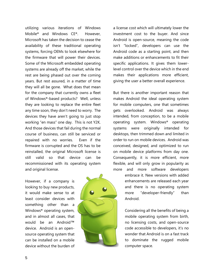utilizing various iterations of Windows Mobile® and Windows CE®. However, Microsoft has taken the decision to cease the availability of these traditional operating systems, forcing OEMs to look elsewhere for the firmware that will power their devices. Some of the Microsoft embedded operating systems are already off the market, while the rest are being phased out over the coming years. But rest assured, in a matter of time they will all be gone. What does that mean for the company that currently owns a fleet of Windows®-based products? Well, unless they are looking to replace the entire fleet any time soon, they don't need to worry. The devices they have aren't going to just stop working "en mass" one day. This is not Y2K. And those devices that fail during the normal course of business, can still be serviced or repaired with no worries. Even if the firmware is corrupted and the OS has to be reinstalled, the original Microsoft license is still valid so that device can be recommissioned with its operating system and original license.

However, if a company is looking to buy new products, it would make sense to at least consider devices with something other than a Windows® operating system, and in almost all cases, that would be an Android™ device. Android is an opensource operating system that can be installed on a mobile device without the burden of



a license cost which will ultimately lower the investment cost to the buyer. And since Android is open-source, meaning the code isn't "locked", developers can use the Android code as a starting point, and then make additions or enhancements to fit their specific applications. It gives them lowerlevel control over the device which in the end makes their applications more efficient, giving the user a better overall experience.

But there is another important reason that makes Android the ideal operating system for mobile computers, one that sometimes gets overlooked. Android was always intended, from conception, to be a mobile operating system. Windows® operating systems were originally intended for desktops, then trimmed down and limited in order to run on mobile devices. Android was conceived, designed, and optimized to run on mobile device platforms from day one. Consequently, it is more efficient, more flexible, and will only grow in popularity as more and more software developers

> embrace it. New versions with added enhancements are released each year and there is no operating system more "developer-friendly" than Android.

> Considering all the benefits of being a mobile operating system from birth, no licensing costs, and open-source code accessible to developers, it's no wonder that Android is on a fast track to dominate the rugged mobile computer space.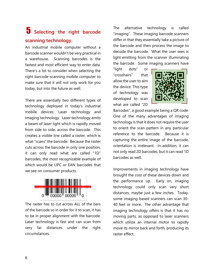# 5 **Selecting the right barcode scanning technology.**

An industrial mobile computer without a barcode scanner wouldn't be very practical in a warehouse. Scanning barcodes is the fastest and most efficient way to enter data. There's a lot to consider when selecting the right barcode-scanning mobile computer to make sure that it will not only work for you today, but into the future as well.

There are essentially two different types of technology deployed in today's industrial mobile devices: Laser technology and Imaging technology. Laser technology emits a beam of laser light which is rapidly moved from side to side, across the barcode. This creates a visible line called a raster, which is what "scans" the barcode. Because the raster cuts across the barcode in only one position, it can only read what are called "1D" barcodes, the most recognizable example of which would be UPC or EAN barcodes that we see on consumer products.



The raster has to cut across ALL of the bars of the barcode so in order for it to scan, it has to be in proper alignment with the barcode. Laser technology is fast and can scan from very far distances under the right circumstances.

The alternative technology is called "imaging". These imaging barcode scanners differ in that they essentially take a picture of the barcode and then process the image to decode the barcode. What the user sees is light emitting from the scanner illuminating the barcode. Some imaging scanners have

"light dots" or "crosshairs" that allow the user to aim the device. This type of technology was developed to scan what are called "2D



Barcodes", a good example being a QR code. One of the many advantages of imaging technology is that it does not require the user to orient the scan pattern in any particular reference to the barcode. Because it is capturing the entire image of the barcode, orientation is irrelevant. In addition, it can not only read 2D barcodes, but it can read 1D barcodes as well.

Improvements in imaging technology have brought the cost of these devices down and the performance up. Early on, imaging technology could only scan very short distances, maybe just a few inches. Today, some imaging-based scanners can scan 30- 40 feet or more. The other advantage that imaging technology offers is that it has no moving parts, as opposed to laser scanners which utilize an internal motor to rapidly move its mirror back and forth, producing its raster effect.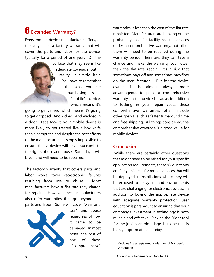# 6 **Extended Warranty?**

Every mobile device manufacturer offers, at the very least, a factory warranty that will cover the parts and labor for the device, typically for a period of one year. On the

> surface that may seem like adequate coverage, but in reality, it simply isn't. You have to remember that what you are purchasing is a "mobile" device, which means it's

going to get carried, which means it's going to get dropped. And kicked. And wedged in a door. Let's face it, your mobile device is more likely to get treated like a box knife than a computer, and despite the best efforts of the manufacturer, it's simply impossible to ensure that a device will never succumb to the rigors of use and abuse. Someday it will break and will need to be repaired.

The factory warranty that covers parts and labor won't cover catastrophic failures resulting from use or abuse. Most manufacturers have a flat-rate they charge for repairs. However, these manufacturers also offer warranties that go beyond just parts and labor. Some will cover "wear and



tear" and abuse regardless of how it came to be damaged. In most cases, the cost of one of these "comprehensive"

warranties is less than the cost of the flat rate repair fee. Manufacturers are banking on the probability that if a facility has ten devices under a comprehensive warranty, not all of them will need to be repaired during the warranty period. Therefore, they can take a chance and make the warranty cost lower than the flat-rate repair. It's a risk that sometimes pays off and sometimes backfires on the manufacturer. But for the device owner, it is almost always more advantageous to place a comprehensive warranty on the device because, in addition to locking in your repair costs, these comprehensive warranties often include other "perks" such as faster turnaround time and free shipping. All things considered, the comprehensive coverage is a good value for mobile devices.

#### **Conclusion**

While there are certainly other questions that might need to be raised for your specific application requirements, these six questions are fairly universal for mobile devices that will be deployed in installations where they will be exposed to heavy use and environments that are challenging for electronic devices. In addition to buying the appropriate device with adequate warranty protection, user education is paramount to ensuring that your company's investment in technology is both reliable and effective. Picking the "right tool for the job" is an old adage, but one that is highly appropriate still today.

Windows® is a registered trademark of Microsoft Corporation.

Android is a trademark of Google LLC.